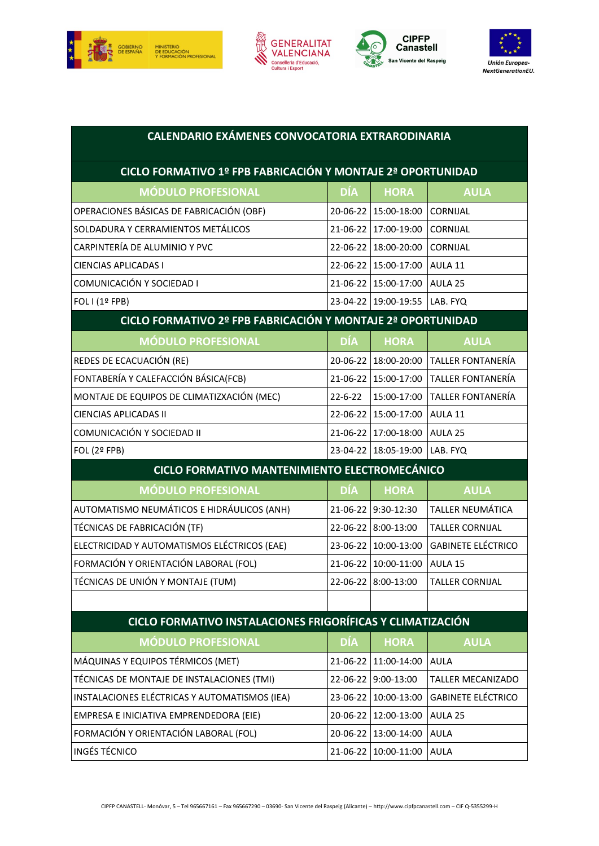







| <b>CALENDARIO EXÁMENES CONVOCATORIA EXTRARODINARIA</b>      |                |                      |                           |  |  |
|-------------------------------------------------------------|----------------|----------------------|---------------------------|--|--|
| CICLO FORMATIVO 1º FPB FABRICACIÓN Y MONTAJE 2ª OPORTUNIDAD |                |                      |                           |  |  |
| <b>MÓDULO PROFESIONAL</b>                                   | DÍA            | <b>HORA</b>          | <b>AULA</b>               |  |  |
| OPERACIONES BÁSICAS DE FABRICACIÓN (OBF)                    |                | 20-06-22 15:00-18:00 | CORNIJAL                  |  |  |
| SOLDADURA Y CERRAMIENTOS METÁLICOS                          | $21 - 06 - 22$ | 17:00-19:00          | CORNIJAL                  |  |  |
| CARPINTERÍA DE ALUMINIO Y PVC                               |                | 22-06-22 18:00-20:00 | CORNIJAL                  |  |  |
| <b>CIENCIAS APLICADAS I</b>                                 |                | 22-06-22 15:00-17:00 | AULA 11                   |  |  |
| COMUNICACIÓN Y SOCIEDAD I                                   |                | 21-06-22 15:00-17:00 | AULA 25                   |  |  |
| FOL I (1º FPB)                                              |                | 23-04-22 19:00-19:55 | LAB. FYQ                  |  |  |
| CICLO FORMATIVO 2º FPB FABRICACIÓN Y MONTAJE 2ª OPORTUNIDAD |                |                      |                           |  |  |
| <b>MÓDULO PROFESIONAL</b>                                   | DÍA            | <b>HORA</b>          | <b>AULA</b>               |  |  |
| REDES DE ECACUACIÓN (RE)                                    |                | 20-06-22 18:00-20:00 | <b>TALLER FONTANERÍA</b>  |  |  |
| FONTABERÍA Y CALEFACCIÓN BÁSICA(FCB)                        |                | 21-06-22 15:00-17:00 | <b>TALLER FONTANERÍA</b>  |  |  |
| MONTAJE DE EQUIPOS DE CLIMATIZXACIÓN (MEC)                  | $22 - 6 - 22$  | 15:00-17:00          | <b>TALLER FONTANERÍA</b>  |  |  |
| <b>CIENCIAS APLICADAS II</b>                                |                | 22-06-22 15:00-17:00 | AULA 11                   |  |  |
| COMUNICACIÓN Y SOCIEDAD II                                  |                | 21-06-22 17:00-18:00 | AULA 25                   |  |  |
| FOL (2º FPB)                                                |                | 23-04-22 18:05-19:00 | LAB. FYQ                  |  |  |
| CICLO FORMATIVO MANTENIMIENTO ELECTROMECÁNICO               |                |                      |                           |  |  |
| <b>MÓDULO PROFESIONAL</b>                                   | DÍA            | <b>HORA</b>          | <b>AULA</b>               |  |  |
| AUTOMATISMO NEUMÁTICOS E HIDRÁULICOS (ANH)                  | 21-06-22       | $9:30-12:30$         | TALLER NEUMÁTICA          |  |  |
| TÉCNICAS DE FABRICACIÓN (TF)                                |                | 22-06-22 8:00-13:00  | <b>TALLER CORNIJAL</b>    |  |  |
| ELECTRICIDAD Y AUTOMATISMOS ELÉCTRICOS (EAE)                |                | 23-06-22 10:00-13:00 | <b>GABINETE ELÉCTRICO</b> |  |  |
| FORMACIÓN Y ORIENTACIÓN LABORAL (FOL)                       | 21-06-22       | 10:00-11:00          | AULA 15                   |  |  |
| TÉCNICAS DE UNIÓN Y MONTAJE (TUM)                           |                | 22-06-22 8:00-13:00  | TALLER CORNIJAL           |  |  |
|                                                             |                |                      |                           |  |  |
| CICLO FORMATIVO INSTALACIONES FRIGORÍFICAS Y CLIMATIZACIÓN  |                |                      |                           |  |  |
| <b>MÓDULO PROFESIONAL</b>                                   | <b>DÍA</b>     | <b>HORA</b>          | <b>AULA</b>               |  |  |
| MÁQUINAS Y EQUIPOS TÉRMICOS (MET)                           |                | 21-06-22 11:00-14:00 | <b>AULA</b>               |  |  |
| TÉCNICAS DE MONTAJE DE INSTALACIONES (TMI)                  |                | 22-06-22 9:00-13:00  | <b>TALLER MECANIZADO</b>  |  |  |
| INSTALACIONES ELÉCTRICAS Y AUTOMATISMOS (IEA)               |                | 23-06-22 10:00-13:00 | <b>GABINETE ELÉCTRICO</b> |  |  |
| EMPRESA E INICIATIVA EMPRENDEDORA (EIE)                     |                | 20-06-22 12:00-13:00 | AULA 25                   |  |  |
| FORMACIÓN Y ORIENTACIÓN LABORAL (FOL)                       |                | 20-06-22 13:00-14:00 | <b>AULA</b>               |  |  |
| <b>INGÉS TÉCNICO</b>                                        |                | 21-06-22 10:00-11:00 | <b>AULA</b>               |  |  |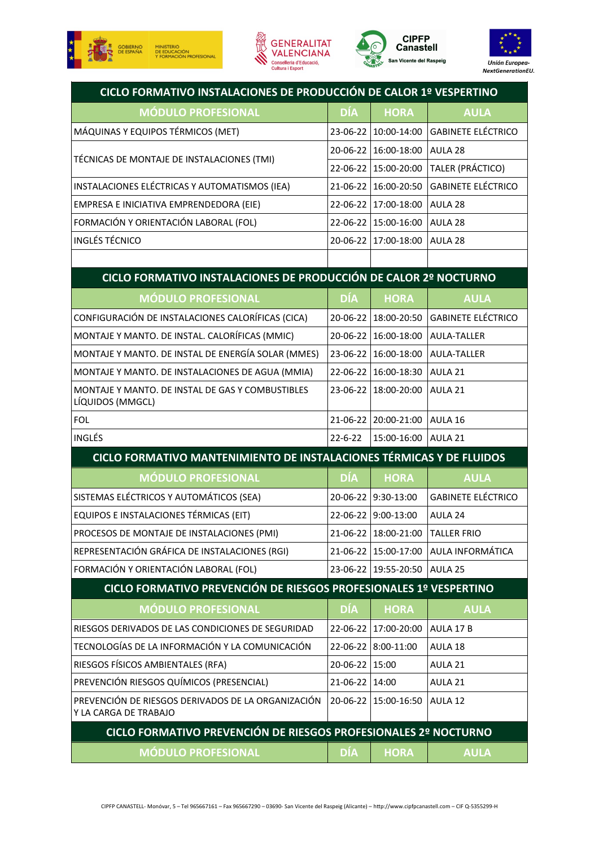







| CICLO FORMATIVO INSTALACIONES DE PRODUCCIÓN DE CALOR 1º VESPERTINO          |                |                        |                           |  |  |  |
|-----------------------------------------------------------------------------|----------------|------------------------|---------------------------|--|--|--|
| <b>MÓDULO PROFESIONAL</b>                                                   | <b>DÍA</b>     | <b>HORA</b>            | <b>AULA</b>               |  |  |  |
| MÁQUINAS Y EQUIPOS TÉRMICOS (MET)                                           | 23-06-22       | 10:00-14:00            | <b>GABINETE ELÉCTRICO</b> |  |  |  |
| TÉCNICAS DE MONTAJE DE INSTALACIONES (TMI)                                  | 20-06-22       | 16:00-18:00            | AULA 28                   |  |  |  |
|                                                                             |                | 22-06-22 15:00-20:00   | TALER (PRÁCTICO)          |  |  |  |
| INSTALACIONES ELÉCTRICAS Y AUTOMATISMOS (IEA)                               | 21-06-22       | 16:00-20:50            | <b>GABINETE ELÉCTRICO</b> |  |  |  |
| EMPRESA E INICIATIVA EMPRENDEDORA (EIE)                                     | 22-06-22       | 17:00-18:00            | AULA 28                   |  |  |  |
| FORMACIÓN Y ORIENTACIÓN LABORAL (FOL)                                       | 22-06-22       | 15:00-16:00            | AULA 28                   |  |  |  |
| <b>INGLÉS TÉCNICO</b>                                                       | 20-06-22       | 17:00-18:00            | AULA 28                   |  |  |  |
|                                                                             |                |                        |                           |  |  |  |
| CICLO FORMATIVO INSTALACIONES DE PRODUCCIÓN DE CALOR 2º NOCTURNO            |                |                        |                           |  |  |  |
| <b>MÓDULO PROFESIONAL</b>                                                   | DÍA            | <b>HORA</b>            | <b>AULA</b>               |  |  |  |
| CONFIGURACIÓN DE INSTALACIONES CALORÍFICAS (CICA)                           | 20-06-22       | 18:00-20:50            | <b>GABINETE ELÉCTRICO</b> |  |  |  |
| MONTAJE Y MANTO. DE INSTAL. CALORÍFICAS (MMIC)                              | 20-06-22       | 16:00-18:00            | <b>AULA-TALLER</b>        |  |  |  |
| MONTAJE Y MANTO. DE INSTAL DE ENERGÍA SOLAR (MMES)                          | 23-06-22       | 16:00-18:00            | <b>AULA-TALLER</b>        |  |  |  |
| MONTAJE Y MANTO. DE INSTALACIONES DE AGUA (MMIA)                            | 22-06-22       | 16:00-18:30            | AULA 21                   |  |  |  |
| MONTAJE Y MANTO. DE INSTAL DE GAS Y COMBUSTIBLES<br>LÍQUIDOS (MMGCL)        | 23-06-22       | 18:00-20:00            | AULA 21                   |  |  |  |
| FOL                                                                         | 21-06-22       | 20:00-21:00            | AULA 16                   |  |  |  |
| INGLÉS                                                                      | $22 - 6 - 22$  | 15:00-16:00            | AULA 21                   |  |  |  |
| CICLO FORMATIVO MANTENIMIENTO DE INSTALACIONES TÉRMICAS Y DE FLUIDOS        |                |                        |                           |  |  |  |
| <b>MÓDULO PROFESIONAL</b>                                                   | <b>DÍA</b>     | <b>HORA</b>            | <b>AULA</b>               |  |  |  |
| SISTEMAS ELÉCTRICOS Y AUTOMÁTICOS (SEA)                                     |                | 20-06-22 9:30-13:00    | <b>GABINETE ELÉCTRICO</b> |  |  |  |
| EQUIPOS E INSTALACIONES TÉRMICAS (EIT)                                      | 22-06-22       | 9:00-13:00             | AULA 24                   |  |  |  |
| PROCESOS DE MONTAJE DE INSTALACIONES (PMI)                                  |                | 21-06-22   18:00-21:00 | <b>TALLER FRIO</b>        |  |  |  |
| REPRESENTACIÓN GRÁFICA DE INSTALACIONES (RGI)                               | 21-06-22       | 15:00-17:00            | AULA INFORMÁTICA          |  |  |  |
| FORMACIÓN Y ORIENTACIÓN LABORAL (FOL)                                       | $23 - 06 - 22$ | 19:55-20:50            | AULA 25                   |  |  |  |
| CICLO FORMATIVO PREVENCIÓN DE RIESGOS PROFESIONALES 1º VESPERTINO           |                |                        |                           |  |  |  |
| <b>MÓDULO PROFESIONAL</b>                                                   | DÍA            | <b>HORA</b>            | <b>AULA</b>               |  |  |  |
| RIESGOS DERIVADOS DE LAS CONDICIONES DE SEGURIDAD                           | 22-06-22       | 17:00-20:00            | AULA 17 B                 |  |  |  |
| TECNOLOGÍAS DE LA INFORMACIÓN Y LA COMUNICACIÓN                             | 22-06-22       | 8:00-11:00             | AULA 18                   |  |  |  |
| RIESGOS FÍSICOS AMBIENTALES (RFA)                                           | 20-06-22       | 15:00                  | AULA 21                   |  |  |  |
| PREVENCIÓN RIESGOS QUÍMICOS (PRESENCIAL)                                    | 21-06-22       | 14:00                  | AULA 21                   |  |  |  |
| PREVENCIÓN DE RIESGOS DERIVADOS DE LA ORGANIZACIÓN<br>Y LA CARGA DE TRABAJO | 20-06-22       | 15:00-16:50            | AULA 12                   |  |  |  |
| CICLO FORMATIVO PREVENCIÓN DE RIESGOS PROFESIONALES 2º NOCTURNO             |                |                        |                           |  |  |  |
| <b>MÓDULO PROFESIONAL</b>                                                   | DÍA            | <b>HORA</b>            | <b>AULA</b>               |  |  |  |